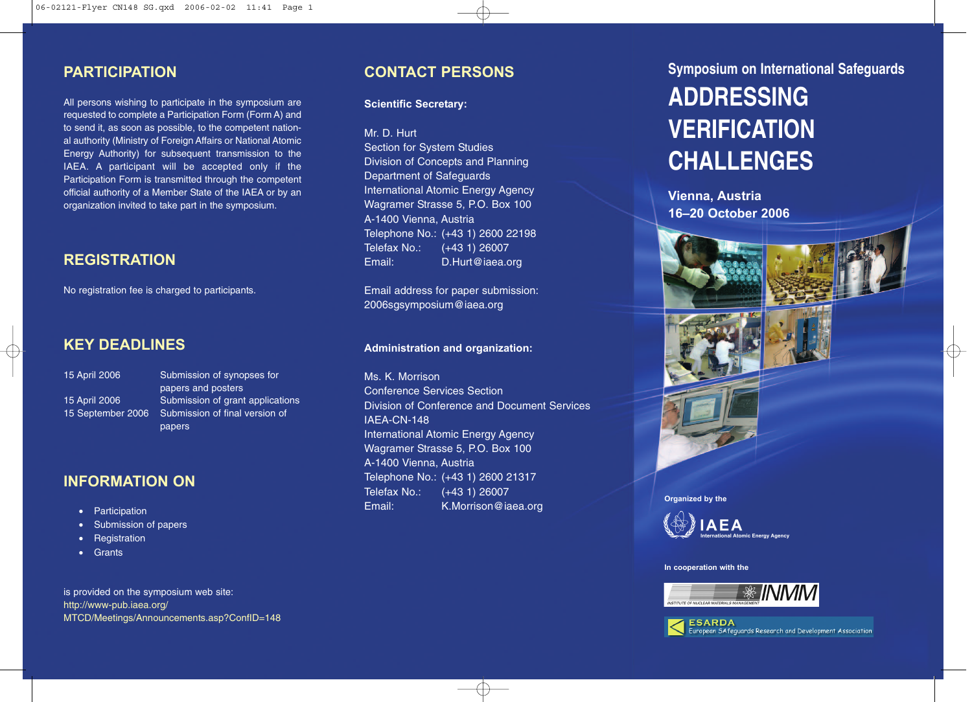### **PARTICIPATION**

All persons wishing to participate in the symposium are requested to complete a Participation Form (Form A) and to send it, as soon as possible, to the competent national authority (Ministry of Foreign Affairs or National Atomic Energy Authority) for subsequent transmission to the IAEA. A participant will be accepted only if the Participation Form is transmitted through the competent official authority of a Member State of the IAEA or by an organization invited to take part in the symposium.

## **REGISTRATION**

No registration fee is charged to participants.

### **KEY DEADLINES**

15 April 2006 Submission of synopses for papers and posters 15 April 2006 Submission of grant applications 15 September 2006 Submission of final version of papers

### **INFORMATION ON**

- Participation
- Submission of papers
- **Registration**
- **Grants**

is provided on the symposium web site: http://www-pub.iaea.org/ MTCD/Meetings/Announcements.asp?ConfID=148

### **CONTACT PERSONS**

**Scientific Secretary:**

### Mr. D. Hurt

**Section for System Studies** Division of Concepts and Planning Department of Safeguards International Atomic Energy Agency Wagramer Strasse 5, P.O. Box 100 A-1400 Vienna, Austria Telephone No.: (+43 1) 2600 22198 Telefax No.: (+43 1) 26007 Email: D.Hurt@iaea.org

Email address for paper submission: 2006sgsymposium@iaea.org

### **Administration and organization:**

Ms. K. Morrison Conference Services Section Division of Conference and Document Services IAEA-CN-148 International Atomic Energy Agency Wagramer Strasse 5, P.O. Box 100 A-1400 Vienna, Austria Telephone No.: (+43 1) 2600 21317 Telefax No.: (+43 1) 26007 Email: K.Morrison@iaea.org

# **Symposium on International Safeguards ADDRESSING VERIFICATION CHALLENGES**

**Vienna, Austria 16–20 October 2006**







**Organized by the**



#### **In cooperation with the**





**ESARDA** European SAfeguards Research and Development Association